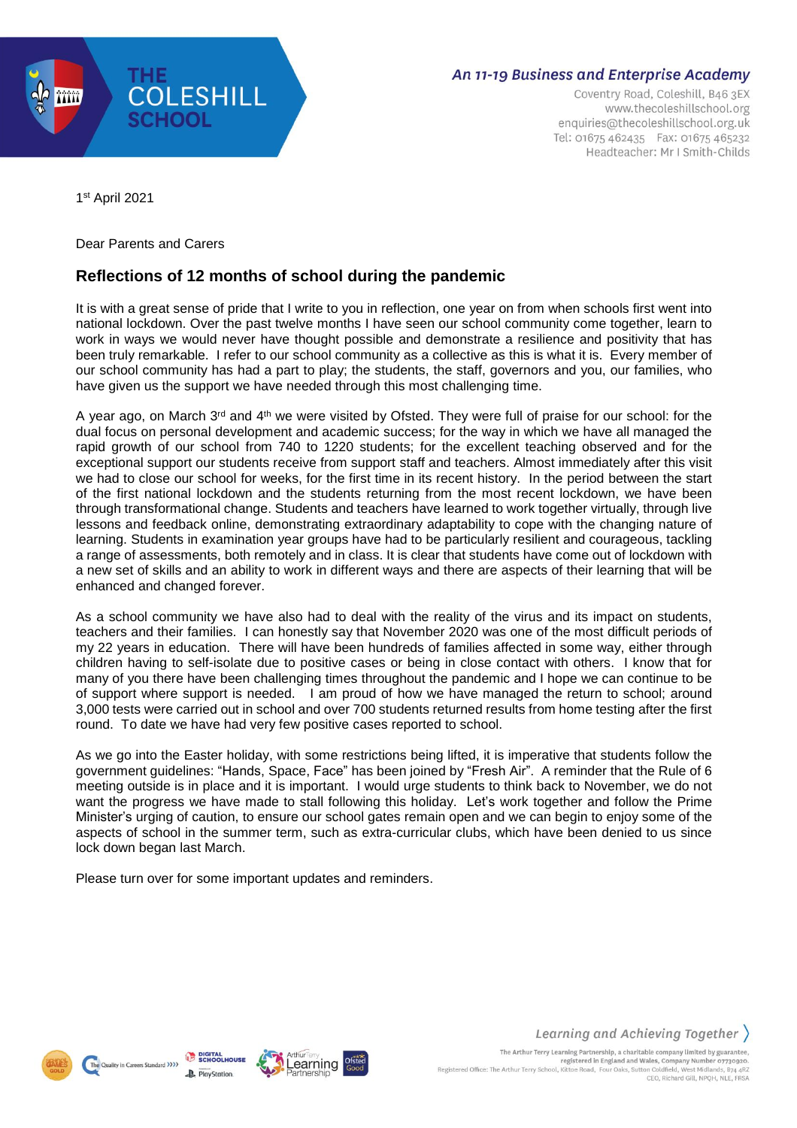

# **An 11-19 Business and Enterprise Academy**

Coventry Road, Coleshill, B46 3EX www.thecoleshillschool.org enquiries@thecoleshillschool.org.uk Tel: 01675 462435 Fax: 01675 465232 Headteacher: Mr I Smith-Childs

1 st April 2021

## Dear Parents and Carers

# **Reflections of 12 months of school during the pandemic**

It is with a great sense of pride that I write to you in reflection, one year on from when schools first went into national lockdown. Over the past twelve months I have seen our school community come together, learn to work in ways we would never have thought possible and demonstrate a resilience and positivity that has been truly remarkable. I refer to our school community as a collective as this is what it is. Every member of our school community has had a part to play; the students, the staff, governors and you, our families, who have given us the support we have needed through this most challenging time.

A year ago, on March 3<sup>rd</sup> and 4<sup>th</sup> we were visited by Ofsted. They were full of praise for our school: for the dual focus on personal development and academic success; for the way in which we have all managed the rapid growth of our school from 740 to 1220 students; for the excellent teaching observed and for the exceptional support our students receive from support staff and teachers. Almost immediately after this visit we had to close our school for weeks, for the first time in its recent history. In the period between the start of the first national lockdown and the students returning from the most recent lockdown, we have been through transformational change. Students and teachers have learned to work together virtually, through live lessons and feedback online, demonstrating extraordinary adaptability to cope with the changing nature of learning. Students in examination year groups have had to be particularly resilient and courageous, tackling a range of assessments, both remotely and in class. It is clear that students have come out of lockdown with a new set of skills and an ability to work in different ways and there are aspects of their learning that will be enhanced and changed forever.

As a school community we have also had to deal with the reality of the virus and its impact on students, teachers and their families. I can honestly say that November 2020 was one of the most difficult periods of my 22 years in education. There will have been hundreds of families affected in some way, either through children having to self-isolate due to positive cases or being in close contact with others. I know that for many of you there have been challenging times throughout the pandemic and I hope we can continue to be of support where support is needed. I am proud of how we have managed the return to school; around 3,000 tests were carried out in school and over 700 students returned results from home testing after the first round. To date we have had very few positive cases reported to school.

As we go into the Easter holiday, with some restrictions being lifted, it is imperative that students follow the government guidelines: "Hands, Space, Face" has been joined by "Fresh Air". A reminder that the Rule of 6 meeting outside is in place and it is important. I would urge students to think back to November, we do not want the progress we have made to stall following this holiday. Let's work together and follow the Prime Minister's urging of caution, to ensure our school gates remain open and we can begin to enjoy some of the aspects of school in the summer term, such as extra-curricular clubs, which have been denied to us since lock down began last March.

Please turn over for some important updates and reminders.





Learning and Achieving Together

The Arthur Terry Learning Partnership, a charitable company limited by guarantee,<br>registered in England and Wales, Company Number 07730920.<br>Registered Office: The Arthur Terry School, Kittoe Road, Four Oaks, Sutton Coldfie CEO, Richard Gill, NPOH, NLE, FRSA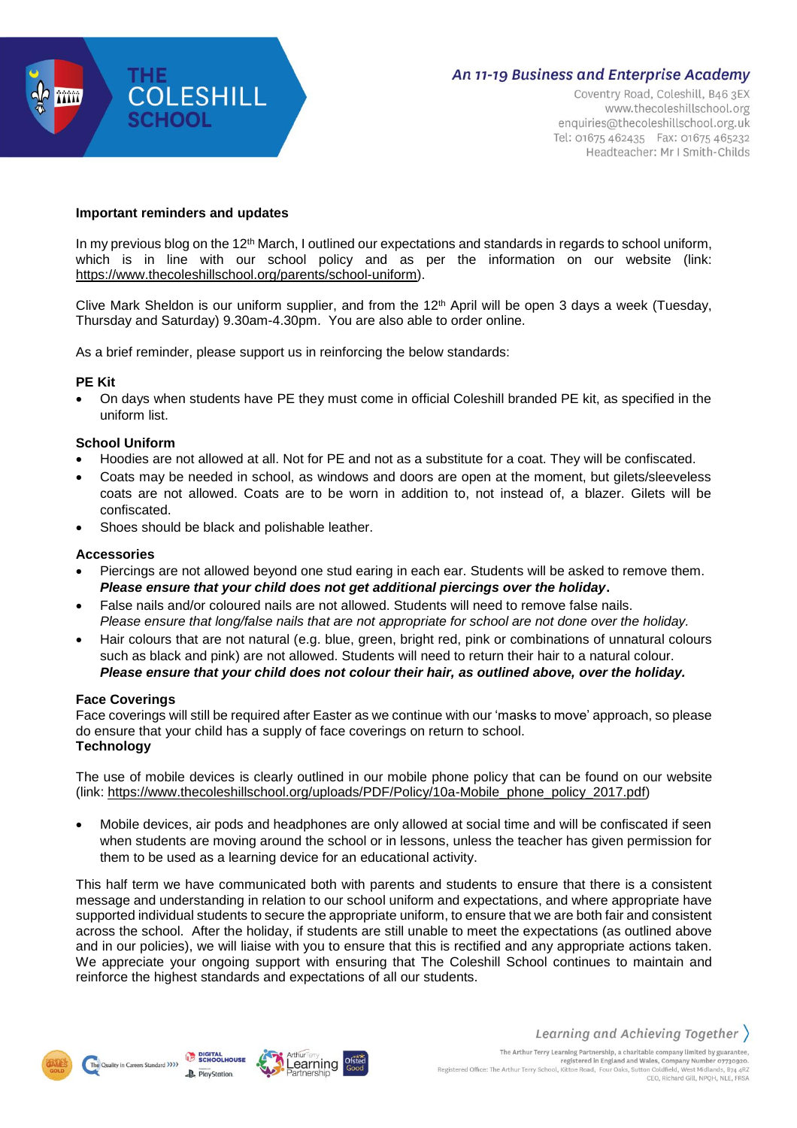

# **An 11-19 Business and Enterprise Academy**

Coventry Road, Coleshill, B46 3EX www.thecoleshillschool.org enquiries@thecoleshillschool.org.uk Tel: 01675 462435 Fax: 01675 465232 Headteacher: Mr I Smith-Childs

## **Important reminders and updates**

In my previous blog on the 12<sup>th</sup> March, I outlined our expectations and standards in regards to school uniform, which is in line with our school policy and as per the information on our website (link: [https://www.thecoleshillschool.org/parents/school-uniform\)](https://www.thecoleshillschool.org/parents/school-uniform).

Clive Mark Sheldon is our uniform supplier, and from the 12<sup>th</sup> April will be open 3 days a week (Tuesday, Thursday and Saturday) 9.30am-4.30pm. You are also able to order online.

As a brief reminder, please support us in reinforcing the below standards:

## **PE Kit**

 On days when students have PE they must come in official Coleshill branded PE kit, as specified in the uniform list.

# **School Uniform**

- Hoodies are not allowed at all. Not for PE and not as a substitute for a coat. They will be confiscated.
- Coats may be needed in school, as windows and doors are open at the moment, but gilets/sleeveless coats are not allowed. Coats are to be worn in addition to, not instead of, a blazer. Gilets will be confiscated.
- Shoes should be black and polishable leather.

## **Accessories**

- Piercings are not allowed beyond one stud earing in each ear. Students will be asked to remove them. *Please ensure that your child does not get additional piercings over the holiday***.**
- False nails and/or coloured nails are not allowed. Students will need to remove false nails. *Please ensure that long/false nails that are not appropriate for school are not done over the holiday.*
- Hair colours that are not natural (e.g. blue, green, bright red, pink or combinations of unnatural colours such as black and pink) are not allowed. Students will need to return their hair to a natural colour. *Please ensure that your child does not colour their hair, as outlined above, over the holiday.*

#### **Face Coverings**

Face coverings will still be required after Easter as we continue with our 'masks to move' approach, so please do ensure that your child has a supply of face coverings on return to school. **Technology**

The use of mobile devices is clearly outlined in our mobile phone policy that can be found on our website (link: [https://www.thecoleshillschool.org/uploads/PDF/Policy/10a-Mobile\\_phone\\_policy\\_2017.pdf\)](https://www.thecoleshillschool.org/uploads/PDF/Policy/10a-Mobile_phone_policy_2017.pdf)

 Mobile devices, air pods and headphones are only allowed at social time and will be confiscated if seen when students are moving around the school or in lessons, unless the teacher has given permission for them to be used as a learning device for an educational activity.

This half term we have communicated both with parents and students to ensure that there is a consistent message and understanding in relation to our school uniform and expectations, and where appropriate have supported individual students to secure the appropriate uniform, to ensure that we are both fair and consistent across the school. After the holiday, if students are still unable to meet the expectations (as outlined above and in our policies), we will liaise with you to ensure that this is rectified and any appropriate actions taken. We appreciate your ongoing support with ensuring that The Coleshill School continues to maintain and reinforce the highest standards and expectations of all our students.